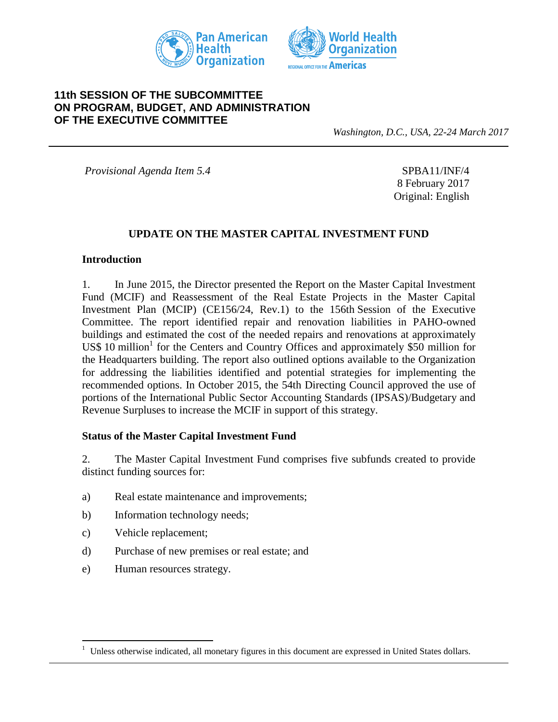



# **11th SESSION OF THE SUBCOMMITTEE ON PROGRAM, BUDGET, AND ADMINISTRATION OF THE EXECUTIVE COMMITTEE**

*Washington, D.C., USA, 22-24 March 2017*

*Provisional Agenda Item 5.4* SPBA11/INF/4

8 February 2017 Original: English

### **UPDATE ON THE MASTER CAPITAL INVESTMENT FUND**

#### **Introduction**

1. In June 2015, the Director presented the Report on the Master Capital Investment Fund (MCIF) and Reassessment of the Real Estate Projects in the Master Capital Investment Plan (MCIP) (CE156/24, Rev.1) to the 156th Session of the Executive Committee. The report identified repair and renovation liabilities in PAHO-owned buildings and estimated the cost of the needed repairs and renovations at approximately US\$ 10 million<sup>1</sup> for the Centers and Country Offices and approximately \$50 million for the Headquarters building. The report also outlined options available to the Organization for addressing the liabilities identified and potential strategies for implementing the recommended options. In October 2015, the 54th Directing Council approved the use of portions of the International Public Sector Accounting Standards (IPSAS)/Budgetary and Revenue Surpluses to increase the MCIF in support of this strategy.

#### **Status of the Master Capital Investment Fund**

2. The Master Capital Investment Fund comprises five subfunds created to provide distinct funding sources for:

- a) Real estate maintenance and improvements;
- b) Information technology needs;
- c) Vehicle replacement;

 $\overline{a}$ 

- d) Purchase of new premises or real estate; and
- e) Human resources strategy.

<sup>&</sup>lt;sup>1</sup> Unless otherwise indicated, all monetary figures in this document are expressed in United States dollars.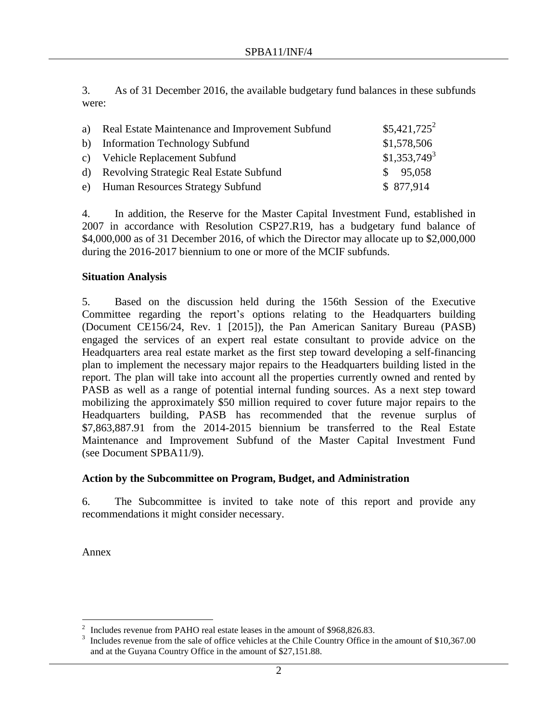3. As of 31 December 2016, the available budgetary fund balances in these subfunds were:

| a) Real Estate Maintenance and Improvement Subfund | $$5,421,725^2$ |
|----------------------------------------------------|----------------|
| b) Information Technology Subfund                  | \$1,578,506    |
| c) Vehicle Replacement Subfund                     | $$1,353,749^3$ |
| d) Revolving Strategic Real Estate Subfund         | \$95,058       |
| e) Human Resources Strategy Subfund                | \$877,914      |

4. In addition, the Reserve for the Master Capital Investment Fund, established in 2007 in accordance with Resolution CSP27.R19, has a budgetary fund balance of \$4,000,000 as of 31 December 2016, of which the Director may allocate up to \$2,000,000 during the 2016-2017 biennium to one or more of the MCIF subfunds.

## **Situation Analysis**

5. Based on the discussion held during the 156th Session of the Executive Committee regarding the report's options relating to the Headquarters building (Document CE156/24, Rev. 1 [2015]), the Pan American Sanitary Bureau (PASB) engaged the services of an expert real estate consultant to provide advice on the Headquarters area real estate market as the first step toward developing a self-financing plan to implement the necessary major repairs to the Headquarters building listed in the report. The plan will take into account all the properties currently owned and rented by PASB as well as a range of potential internal funding sources. As a next step toward mobilizing the approximately \$50 million required to cover future major repairs to the Headquarters building, PASB has recommended that the revenue surplus of \$7,863,887.91 from the 2014-2015 biennium be transferred to the Real Estate Maintenance and Improvement Subfund of the Master Capital Investment Fund (see Document SPBA11/9).

## **Action by the Subcommittee on Program, Budget, and Administration**

6. The Subcommittee is invited to take note of this report and provide any recommendations it might consider necessary.

Annex

 $\overline{a}$ 2 Includes revenue from PAHO real estate leases in the amount of \$968,826.83.

<sup>3</sup> Includes revenue from the sale of office vehicles at the Chile Country Office in the amount of \$10,367.00 and at the Guyana Country Office in the amount of \$27,151.88.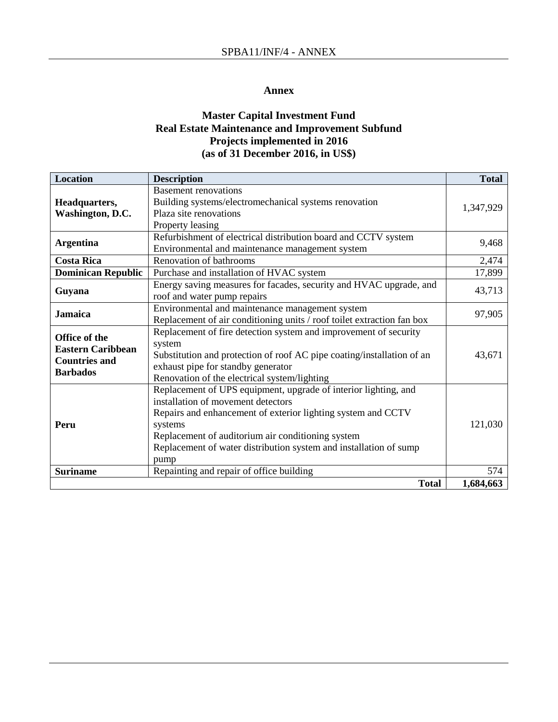#### **Annex**

## **Master Capital Investment Fund Real Estate Maintenance and Improvement Subfund Projects implemented in 2016 (as of 31 December 2016, in US\$)**

| <b>Location</b>           | <b>Description</b>                                                     | <b>Total</b> |
|---------------------------|------------------------------------------------------------------------|--------------|
|                           | <b>Basement renovations</b>                                            |              |
| Headquarters,             | Building systems/electromechanical systems renovation                  |              |
| Washington, D.C.          | Plaza site renovations                                                 | 1,347,929    |
|                           | Property leasing                                                       |              |
|                           | Refurbishment of electrical distribution board and CCTV system         | 9,468        |
| <b>Argentina</b>          | Environmental and maintenance management system                        |              |
| <b>Costa Rica</b>         | Renovation of bathrooms                                                | 2,474        |
| <b>Dominican Republic</b> | Purchase and installation of HVAC system                               | 17,899       |
|                           | Energy saving measures for facades, security and HVAC upgrade, and     |              |
| Guyana                    | roof and water pump repairs                                            | 43,713       |
|                           | Environmental and maintenance management system                        |              |
| <b>Jamaica</b>            | Replacement of air conditioning units / roof toilet extraction fan box | 97,905       |
| Office of the             | Replacement of fire detection system and improvement of security       |              |
| <b>Eastern Caribbean</b>  | system                                                                 |              |
| <b>Countries and</b>      | Substitution and protection of roof AC pipe coating/installation of an | 43,671       |
| <b>Barbados</b>           | exhaust pipe for standby generator                                     |              |
|                           | Renovation of the electrical system/lighting                           |              |
|                           | Replacement of UPS equipment, upgrade of interior lighting, and        |              |
|                           | installation of movement detectors                                     |              |
|                           | Repairs and enhancement of exterior lighting system and CCTV           |              |
| Peru                      | systems                                                                | 121,030      |
|                           | Replacement of auditorium air conditioning system                      |              |
|                           | Replacement of water distribution system and installation of sump      |              |
|                           | pump                                                                   |              |
| <b>Suriname</b>           | Repainting and repair of office building                               | 574          |
|                           | <b>Total</b>                                                           | 1,684,663    |